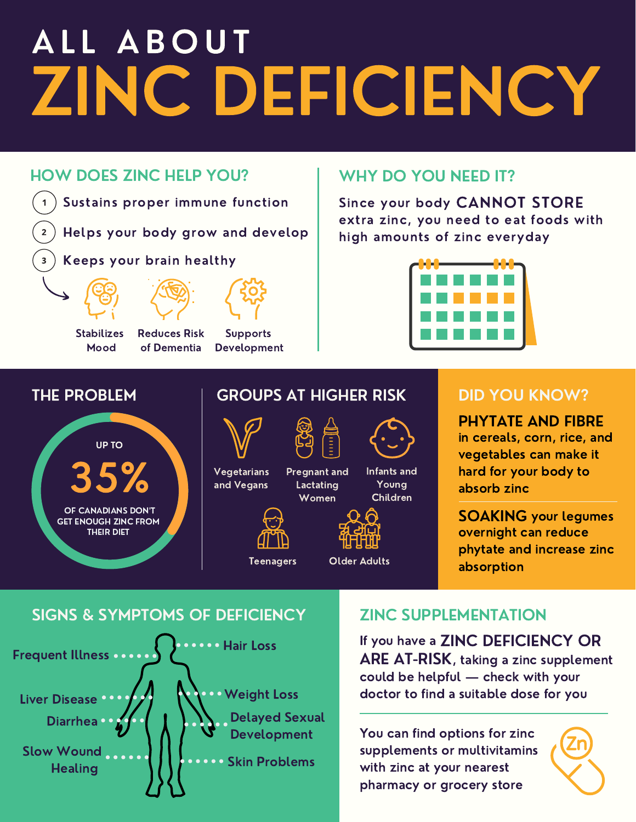## ZINC DEFICIENCY ALL ABOUT

#### HOW DOES ZINC HELP YOU?



Helps your body grow and develop

Keeps your brain healthy



 $\overline{2}$ 



Stabilizes Mood

Reduces Risk of Dementia

Supports Development

#### WHY DO YOU NEED IT?

Since your body CANNOT STORE extra zinc, you need to eat foods with high amounts of zinc everyday



#### THE PROBLEM



### GROUPS AT HIGHER RISK

**Lactating** Women



**Vegetarians** and Vegans Pregnant and



Teenagers Older Adults

Infants and Young Children ค

#### DID YOU KNOW?

in cereals, corn, rice, and vegetables can make it hard for your body to absorb zinc PHYTATE AND FIBRE

overnight can reduce phytate and increase zinc absorption SOAKING your legumes

SIGNS & SYMPTOMS OF DEFICIENCY



#### ZINC SUPPLEMENTATION

could be helpful — check with your doctor to find a suitable dose for you If you have a ZINC DEFICIENCY OR ARE AT-RISK, taking a zinc supplement

You can find options for zinc supplements or multivitamins with zinc at your nearest pharmacy or grocery store